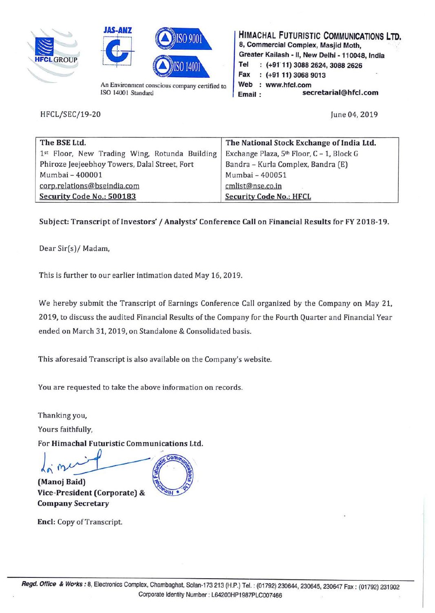





An Environment conscious company certified to ISO 14001 Standard

HFCL/SEC/19-20

**HIMACHAL FUTURISTIC COMMUNICATIONS LTD. 8, Commercial Complex, Masjid Moth, Greater Kail ash** - II, **New Delhi** - **110048, India Tel** : **(+9111) 3088 2624, 3088 2626 Fax** : **(+91 11) 3068 9013**  Web : www.hfcl.com **Email** : **secretarial@hfcl.com** 

June 04, 2019

| The BSE Ltd.                                  | The National Stock Exchange of India Ltd. |
|-----------------------------------------------|-------------------------------------------|
| 1st Floor, New Trading Wing, Rotunda Building | Exchange Plaza, 5th Floor, C - 1, Block G |
| Phiroze Jeejeebhoy Towers, Dalal Street, Fort | Bandra - Kurla Complex, Bandra (E)        |
| Mumbai - 400001                               | Mumbai - 400051                           |
| corp.relations@bseindia.com                   | cmlist@nse.co.in                          |
| Security Code No.: 500183                     | <b>Security Code No.: HFCL</b>            |

## **Subject: Transcript of Investors'/ Analysts' Conference Call on Financial Results for FY 2018-19.**

Dear Sir(s)/ Madam,

This is further to our earlier intimation dated May 16, 2019.

We hereby submit the Transcript of Earnings Conference Call organized by the Company on May 21, 2019, to discuss the audited Financial Results of the Company for the Fourth Quarter and Financial Year ended on March 31, 2019, on Standalone & Consolidated basis.

This aforesaid Transcript is also available on the Company's website.

You are requested to take the above information on records.

Thanking you,

Yours faithfully,

For **Himachal Futuristic Communications Ltd.** 

**(Manoj Baid) Vice-President (Corporate)** & **Company Secretary** 

**Encl:** Copy of Transcript.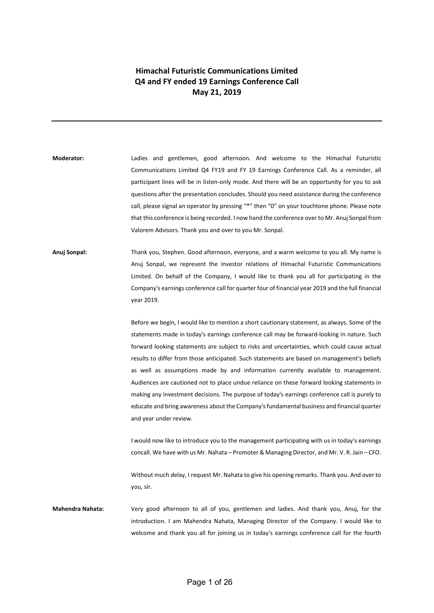## **Himachal Futuristic Communications Limited Q4 and FY ended 19 Earnings Conference Call May 21, 2019**

- **Moderator:** Ladies and gentlemen, good afternoon. And welcome to the Himachal Futuristic Communications Limited Q4 FY19 and FY 19 Earnings Conference Call. As a reminder, all participant lines will be in listen-only mode. And there will be an opportunity for you to ask questions after the presentation concludes. Should you need assistance during the conference call, please signal an operator by pressing "\*" then "0" on your touchtone phone. Please note that this conference is being recorded. I now hand the conference over to Mr. Anuj Sonpal from Valorem Advisors. Thank you and over to you Mr. Sonpal.
- **Anuj Sonpal:** Thank you, Stephen. Good afternoon, everyone, and a warm welcome to you all. My name is Anuj Sonpal, we represent the investor relations of Himachal Futuristic Communications Limited. On behalf of the Company, I would like to thank you all for participating in the Company's earnings conference call for quarter four of financial year 2019 and the full financial year 2019.

Before we begin, I would like to mention a short cautionary statement, as always. Some of the statements made in today's earnings conference call may be forward-looking in nature. Such forward looking statements are subject to risks and uncertainties, which could cause actual results to differ from those anticipated. Such statements are based on management's beliefs as well as assumptions made by and information currently available to management. Audiences are cautioned not to place undue reliance on these forward looking statements in making any investment decisions. The purpose of today's earnings conference call is purely to educate and bring awareness about the Company's fundamental business and financial quarter and year under review.

I would now like to introduce you to the management participating with us in today's earnings concall. We have with us Mr. Nahata – Promoter & Managing Director, and Mr. V. R. Jain – CFO.

Without much delay, I request Mr. Nahata to give his opening remarks. Thank you. And over to you, sir.

**Mahendra Nahata:** Very good afternoon to all of you, gentlemen and ladies. And thank you, Anuj, for the introduction. I am Mahendra Nahata, Managing Director of the Company. I would like to welcome and thank you all for joining us in today's earnings conference call for the fourth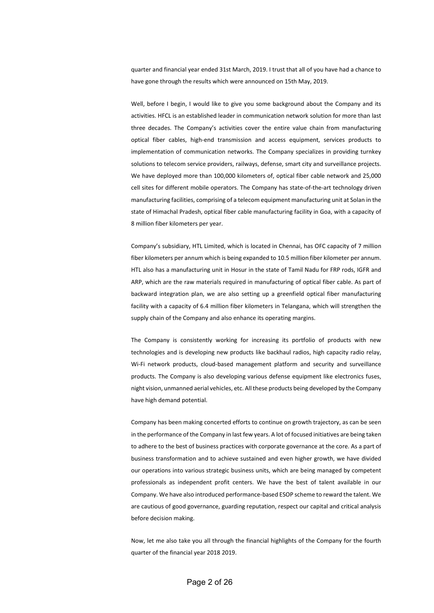quarter and financial year ended 31st March, 2019. I trust that all of you have had a chance to have gone through the results which were announced on 15th May, 2019.

Well, before I begin, I would like to give you some background about the Company and its activities. HFCL is an established leader in communication network solution for more than last three decades. The Company's activities cover the entire value chain from manufacturing optical fiber cables, high-end transmission and access equipment, services products to implementation of communication networks. The Company specializes in providing turnkey solutions to telecom service providers, railways, defense, smart city and surveillance projects. We have deployed more than 100,000 kilometers of, optical fiber cable network and 25,000 cell sites for different mobile operators. The Company has state-of-the-art technology driven manufacturing facilities, comprising of a telecom equipment manufacturing unit at Solan in the state of Himachal Pradesh, optical fiber cable manufacturing facility in Goa, with a capacity of 8 million fiber kilometers per year.

Company's subsidiary, HTL Limited, which is located in Chennai, has OFC capacity of 7 million fiber kilometers per annum which is being expanded to 10.5 million fiber kilometer per annum. HTL also has a manufacturing unit in Hosur in the state of Tamil Nadu for FRP rods, IGFR and ARP, which are the raw materials required in manufacturing of optical fiber cable. As part of backward integration plan, we are also setting up a greenfield optical fiber manufacturing facility with a capacity of 6.4 million fiber kilometers in Telangana, which will strengthen the supply chain of the Company and also enhance its operating margins.

The Company is consistently working for increasing its portfolio of products with new technologies and is developing new products like backhaul radios, high capacity radio relay, Wi-Fi network products, cloud-based management platform and security and surveillance products. The Company is also developing various defense equipment like electronics fuses, night vision, unmanned aerial vehicles, etc. All these products being developed by the Company have high demand potential.

Company has been making concerted efforts to continue on growth trajectory, as can be seen in the performance of the Company in last few years. A lot of focused initiatives are being taken to adhere to the best of business practices with corporate governance at the core. As a part of business transformation and to achieve sustained and even higher growth, we have divided our operations into various strategic business units, which are being managed by competent professionals as independent profit centers. We have the best of talent available in our Company. We have also introduced performance-based ESOP scheme to reward the talent. We are cautious of good governance, guarding reputation, respect our capital and critical analysis before decision making.

Now, let me also take you all through the financial highlights of the Company for the fourth quarter of the financial year 2018 2019.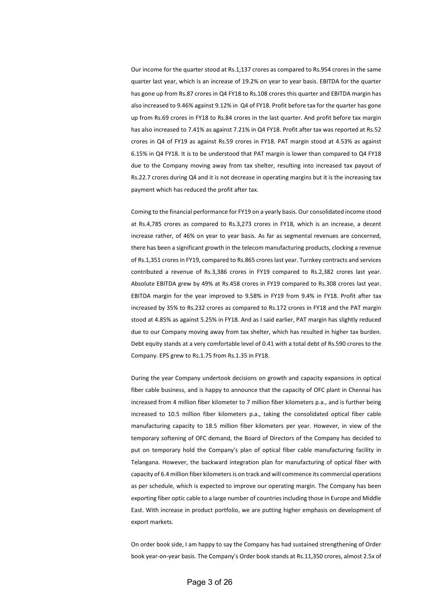Our income for the quarter stood at Rs.1,137 crores as compared to Rs.954 crores in the same quarter last year, which is an increase of 19.2% on year to year basis. EBITDA for the quarter has gone up from Rs.87 crores in Q4 FY18 to Rs.108 crores this quarter and EBITDA margin has also increased to 9.46% against 9.12% in Q4 of FY18. Profit before tax for the quarter has gone up from Rs.69 crores in FY18 to Rs.84 crores in the last quarter. And profit before tax margin has also increased to 7.41% as against 7.21% in Q4 FY18. Profit after tax was reported at Rs.52 crores in Q4 of FY19 as against Rs.59 crores in FY18. PAT margin stood at 4.53% as against 6.15% in Q4 FY18. It is to be understood that PAT margin is lower than compared to Q4 FY18 due to the Company moving away from tax shelter, resulting into increased tax payout of Rs.22.7 crores during Q4 and it is not decrease in operating margins but it is the increasing tax payment which has reduced the profit after tax.

Coming to the financial performance for FY19 on a yearly basis. Our consolidated income stood at Rs.4,785 crores as compared to Rs.3,273 crores in FY18, which is an increase, a decent increase rather, of 46% on year to year basis. As far as segmental revenues are concerned, there has been a significant growth in the telecom manufacturing products, clocking a revenue of Rs.1,351 crores in FY19, compared to Rs.865 crores last year. Turnkey contracts and services contributed a revenue of Rs.3,386 crores in FY19 compared to Rs.2,382 crores last year. Absolute EBITDA grew by 49% at Rs.458 crores in FY19 compared to Rs.308 crores last year. EBITDA margin for the year improved to 9.58% in FY19 from 9.4% in FY18. Profit after tax increased by 35% to Rs.232 crores as compared to Rs.172 crores in FY18 and the PAT margin stood at 4.85% as against 5.25% in FY18. And as I said earlier, PAT margin has slightly reduced due to our Company moving away from tax shelter, which has resulted in higher tax burden. Debt equity stands at a very comfortable level of 0.41 with a total debt of Rs.590 crores to the Company. EPS grew to Rs.1.75 from Rs.1.35 in FY18.

During the year Company undertook decisions on growth and capacity expansions in optical fiber cable business, and is happy to announce that the capacity of OFC plant in Chennai has increased from 4 million fiber kilometer to 7 million fiber kilometers p.a., and is further being increased to 10.5 million fiber kilometers p.a., taking the consolidated optical fiber cable manufacturing capacity to 18.5 million fiber kilometers per year. However, in view of the temporary softening of OFC demand, the Board of Directors of the Company has decided to put on temporary hold the Company's plan of optical fiber cable manufacturing facility in Telangana. However, the backward integration plan for manufacturing of optical fiber with capacity of 6.4 million fiber kilometers is on track and will commence its commercial operations as per schedule, which is expected to improve our operating margin. The Company has been exporting fiber optic cable to a large number of countries including those in Europe and Middle East. With increase in product portfolio, we are putting higher emphasis on development of export markets.

On order book side, I am happy to say the Company has had sustained strengthening of Order book year-on-year basis. The Company's Order book stands at Rs.11,350 crores, almost 2.5x of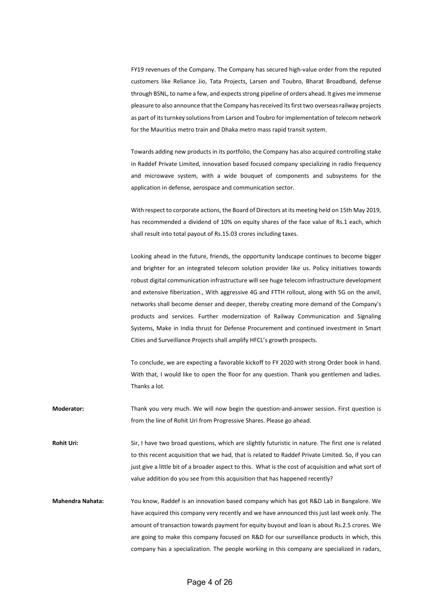FY19 revenues of the Company. The Company has secured high-value order from the reputed customers like Reliance Jio, Tata Projects, Larsen and Toubro, Bharat Broadband, defense through BSNL, to name a few, and expectsstrong pipeline of orders ahead. It gives me immense pleasure to also announce that the Company has received its first two overseas railway projects as part of its turnkey solutions from Larson and Toubro for implementation of telecom network for the Mauritius metro train and Dhaka metro mass rapid transit system.

Towards adding new products in its portfolio, the Company has also acquired controlling stake in Raddef Private Limited, innovation based focused company specializing in radio frequency and microwave system, with a wide bouquet of components and subsystems for the application in defense, aerospace and communication sector.

With respect to corporate actions, the Board of Directors at its meeting held on 15th May 2019, has recommended a dividend of 10% on equity shares of the face value of Rs.1 each, which shall result into total payout of Rs.15.03 crores including taxes.

Looking ahead in the future, friends, the opportunity landscape continues to become bigger and brighter for an integrated telecom solution provider like us. Policy initiatives towards robust digital communication infrastructure will see huge telecom infrastructure development and extensive fiberization., With aggressive 4G and FTTH rollout, along with 5G on the anvil, networks shall become denser and deeper, thereby creating more demand of the Company's products and services. Further modernization of Railway Communication and Signaling Systems, Make in India thrust for Defense Procurement and continued investment in Smart Cities and Surveillance Projects shall amplify HFCL's growth prospects.

To conclude, we are expecting a favorable kickoff to FY 2020 with strong Order book in hand. With that, I would like to open the floor for any question. Thank you gentlemen and ladies. Thanks a lot.

- **Moderator:** Thank you very much. We will now begin the question-and-answer session. First question is from the line of Rohit Uri from Progressive Shares. Please go ahead.
- **Rohit Uri:** Sir, I have two broad questions, which are slightly futuristic in nature. The first one is related to this recent acquisition that we had, that is related to Raddef Private Limited. So, if you can just give a little bit of a broader aspect to this. What is the cost of acquisition and what sort of value addition do you see from this acquisition that has happened recently?
- **Mahendra Nahata:** You know, Raddef is an innovation based company which has got R&D Lab in Bangalore. We have acquired this company very recently and we have announced this just last week only. The amount of transaction towards payment for equity buyout and loan is about Rs.2.5 crores. We are going to make this company focused on R&D for our surveillance products in which, this company has a specialization. The people working in this company are specialized in radars,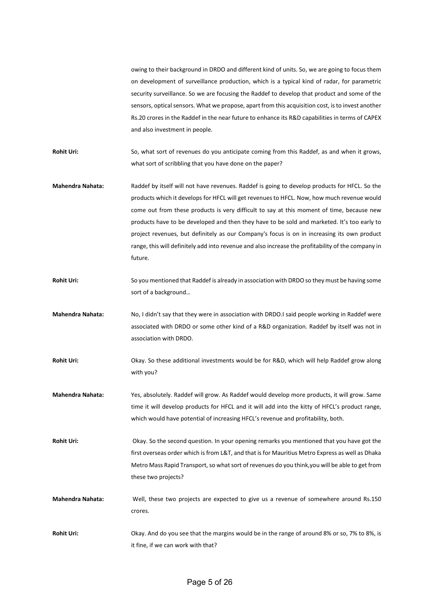owing to their background in DRDO and different kind of units. So, we are going to focus them on development of surveillance production, which is a typical kind of radar, for parametric security surveillance. So we are focusing the Raddef to develop that product and some of the sensors, optical sensors. What we propose, apart from this acquisition cost, is to invest another Rs.20 crores in the Raddef in the near future to enhance its R&D capabilities in terms of CAPEX and also investment in people.

Rohit Uri: So, what sort of revenues do you anticipate coming from this Raddef, as and when it grows, what sort of scribbling that you have done on the paper?

**Mahendra Nahata:** Raddef by itself will not have revenues. Raddef is going to develop products for HFCL. So the products which it develops for HFCL will get revenues to HFCL. Now, how much revenue would come out from these products is very difficult to say at this moment of time, because new products have to be developed and then they have to be sold and marketed. It's too early to project revenues, but definitely as our Company's focus is on in increasing its own product range, this will definitely add into revenue and also increase the profitability of the company in future.

**Rohit Uri:** So you mentioned that Raddef is already in association with DRDO so they must be having some sort of a background…

**Mahendra Nahata:** No, I didn't say that they were in association with DRDO.I said people working in Raddef were associated with DRDO or some other kind of a R&D organization. Raddef by itself was not in association with DRDO.

**Rohit Uri:** Okay. So these additional investments would be for R&D, which will help Raddef grow along with you?

**Mahendra Nahata:** Yes, absolutely. Raddef will grow. As Raddef would develop more products, it will grow. Same time it will develop products for HFCL and it will add into the kitty of HFCL's product range, which would have potential of increasing HFCL's revenue and profitability, both.

**Rohit Uri:** Okay. So the second question. In your opening remarks you mentioned that you have got the first overseas order which is from L&T, and that is for Mauritius Metro Express as well as Dhaka Metro Mass Rapid Transport, so what sort of revenues do you think,you will be able to get from these two projects?

**Mahendra Nahata:** Well, these two projects are expected to give us a revenue of somewhere around Rs.150 crores.

**Rohit Uri:** Okay. And do you see that the margins would be in the range of around 8% or so, 7% to 8%, is it fine, if we can work with that?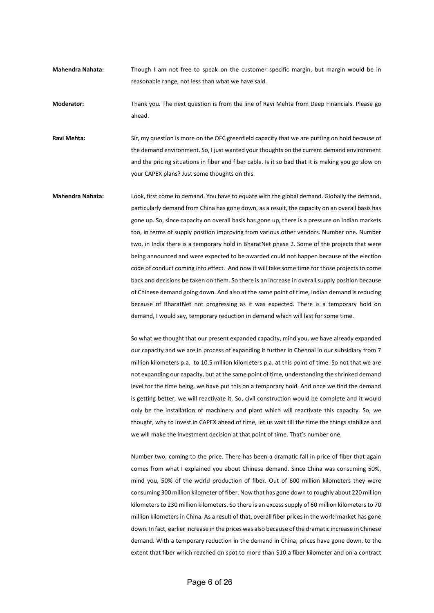**Mahendra Nahata:** Though I am not free to speak on the customer specific margin, but margin would be in reasonable range, not less than what we have said.

**Moderator:** Thank you. The next question is from the line of Ravi Mehta from Deep Financials. Please go ahead.

**Ravi Mehta:** Sir, my question is more on the OFC greenfield capacity that we are putting on hold because of the demand environment. So, I just wanted your thoughts on the current demand environment and the pricing situations in fiber and fiber cable. Is it so bad that it is making you go slow on your CAPEX plans? Just some thoughts on this.

**Mahendra Nahata:** Look, first come to demand. You have to equate with the global demand. Globally the demand, particularly demand from China has gone down, as a result, the capacity on an overall basis has gone up. So, since capacity on overall basis has gone up, there is a pressure on Indian markets too, in terms of supply position improving from various other vendors. Number one. Number two, in India there is a temporary hold in BharatNet phase 2. Some of the projects that were being announced and were expected to be awarded could not happen because of the election code of conduct coming into effect. And now it will take some time for those projects to come back and decisions be taken on them. So there is an increase in overall supply position because of Chinese demand going down. And also at the same point of time, Indian demand is reducing because of BharatNet not progressing as it was expected. There is a temporary hold on demand, I would say, temporary reduction in demand which will last for some time.

> So what we thought that our present expanded capacity, mind you, we have already expanded our capacity and we are in process of expanding it further in Chennai in our subsidiary from 7 million kilometers p.a. to 10.5 million kilometers p.a. at this point of time. So not that we are not expanding our capacity, but at the same point of time, understanding the shrinked demand level for the time being, we have put this on a temporary hold. And once we find the demand is getting better, we will reactivate it. So, civil construction would be complete and it would only be the installation of machinery and plant which will reactivate this capacity. So, we thought, why to invest in CAPEX ahead of time, let us wait till the time the things stabilize and we will make the investment decision at that point of time. That's number one.

> Number two, coming to the price. There has been a dramatic fall in price of fiber that again comes from what I explained you about Chinese demand. Since China was consuming 50%, mind you, 50% of the world production of fiber. Out of 600 million kilometers they were consuming 300 million kilometer of fiber. Now that has gone down to roughly about 220 million kilometers to 230 million kilometers. So there is an excess supply of 60 million kilometers to 70 million kilometers in China. As a result of that, overall fiber prices in the world market has gone down. In fact, earlier increase in the prices was also because of the dramatic increase in Chinese demand. With a temporary reduction in the demand in China, prices have gone down, to the extent that fiber which reached on spot to more than \$10 a fiber kilometer and on a contract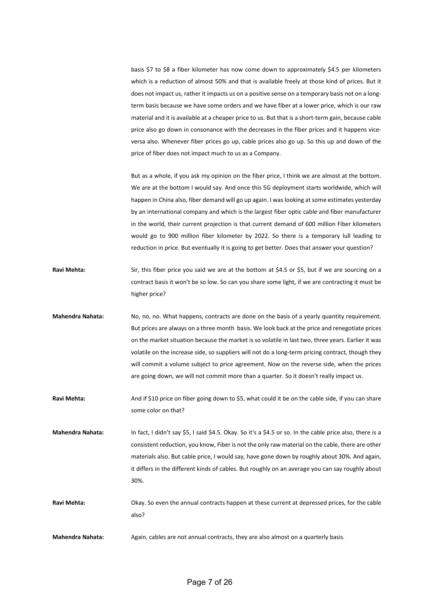basis \$7 to \$8 a fiber kilometer has now come down to approximately \$4.5 per kilometers which is a reduction of almost 50% and that is available freely at those kind of prices. But it does not impact us, rather it impacts us on a positive sense on a temporary basis not on a longterm basis because we have some orders and we have fiber at a lower price, which is our raw material and it is available at a cheaper price to us. But that is a short-term gain, because cable price also go down in consonance with the decreases in the fiber prices and it happens viceversa also. Whenever fiber prices go up, cable prices also go up. So this up and down of the price of fiber does not impact much to us as a Company.

But as a whole, if you ask my opinion on the fiber price, I think we are almost at the bottom. We are at the bottom I would say. And once this 5G deployment starts worldwide, which will happen in China also, fiber demand will go up again. I was looking at some estimates yesterday by an international company and which is the largest fiber optic cable and fiber manufacturer in the world, their current projection is that current demand of 600 million Fiber kilometers would go to 900 million fiber kilometer by 2022. So there is a temporary lull leading to reduction in price. But eventually it is going to get better. Does that answer your question?

- **Ravi Mehta:** Sir, this fiber price you said we are at the bottom at \$4.5 or \$5, but if we are sourcing on a contract basis it won't be so low. So can you share some light, if we are contracting it must be higher price?
- **Mahendra Nahata:** No, no, no. What happens, contracts are done on the basis of a yearly quantity requirement. But prices are always on a three month basis. We look back at the price and renegotiate prices on the market situation because the market is so volatile in last two, three years. Earlier it was volatile on the increase side, so suppliers will not do a long-term pricing contract, though they will commit a volume subject to price agreement. Now on the reverse side, when the prices are going down, we will not commit more than a quarter. So it doesn't really impact us.
- Ravi Mehta: And if \$10 price on fiber going down to \$5, what could it be on the cable side, if you can share some color on that?
- **Mahendra Nahata:** In fact, I didn't say \$5, I said \$4.5. Okay. So it's a \$4.5 or so. In the cable price also, there is a consistent reduction, you know, Fiber is not the only raw material on the cable, there are other materials also. But cable price, I would say, have gone down by roughly about 30%. And again, it differs in the different kinds of cables. But roughly on an average you can say roughly about 30%.
- **Ravi Mehta:** Okay. So even the annual contracts happen at these current at depressed prices, for the cable also?

**Mahendra Nahata:** Again, cables are not annual contracts, they are also almost on a quarterly basis.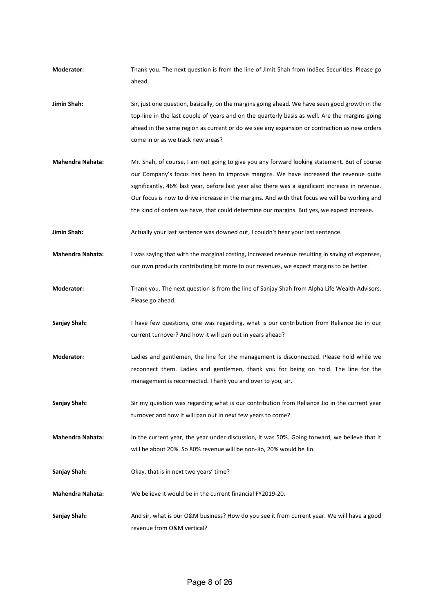- **Moderator:** Thank you. The next question is from the line of Jimit Shah from IndSec Securities. Please go ahead.
- **Jimin Shah:** Sir, just one question, basically, on the margins going ahead. We have seen good growth in the top-line in the last couple of years and on the quarterly basis as well. Are the margins going ahead in the same region as current or do we see any expansion or contraction as new orders come in or as we track new areas?
- **Mahendra Nahata:** Mr. Shah, of course, I am not going to give you any forward looking statement. But of course our Company's focus has been to improve margins. We have increased the revenue quite significantly, 46% last year, before last year also there was a significant increase in revenue. Our focus is now to drive increase in the margins. And with that focus we will be working and the kind of orders we have, that could determine our margins. But yes, we expect increase.
- Jimin Shah: Actually your last sentence was downed out, I couldn't hear your last sentence.
- **Mahendra Nahata:** I was saying that with the marginal costing, increased revenue resulting in saving of expenses, our own products contributing bit more to our revenues, we expect margins to be better.
- **Moderator:** Thank you. The next question is from the line of Sanjay Shah from Alpha Life Wealth Advisors. Please go ahead.
- **Sanjay Shah:** I have few questions, one was regarding, what is our contribution from Reliance Jio in our current turnover? And how it will pan out in years ahead?
- **Moderator:** Ladies and gentlemen, the line for the management is disconnected. Please hold while we reconnect them. Ladies and gentlemen, thank you for being on hold. The line for the management is reconnected. Thank you and over to you, sir.
- Sanjay Shah: Sir my question was regarding what is our contribution from Reliance Jio in the current year turnover and how it will pan out in next few years to come?
- **Mahendra Nahata:** In the current year, the year under discussion, it was 50%. Going forward, we believe that it will be about 20%. So 80% revenue will be non-Jio, 20% would be Jio.
- **Sanjay Shah:** Okay, that is in next two years' time?
- **Mahendra Nahata:** We believe it would be in the current financial FY2019-20.
- **Sanjay Shah:** And sir, what is our O&M business? How do you see it from current year. We will have a good revenue from O&M vertical?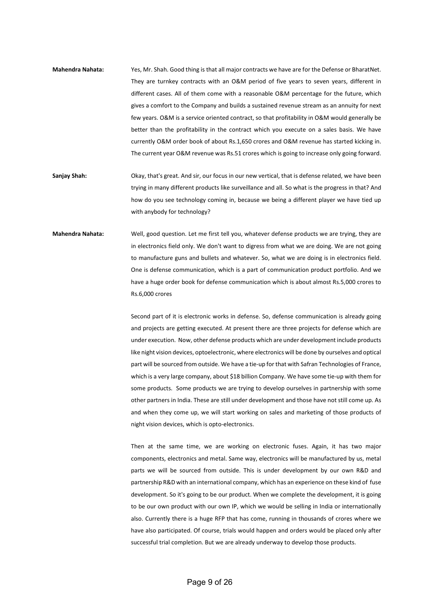- **Mahendra Nahata:** Yes, Mr. Shah. Good thing is that all major contracts we have are for the Defense or BharatNet. They are turnkey contracts with an O&M period of five years to seven years, different in different cases. All of them come with a reasonable O&M percentage for the future, which gives a comfort to the Company and builds a sustained revenue stream as an annuity for next few years. O&M is a service oriented contract, so that profitability in O&M would generally be better than the profitability in the contract which you execute on a sales basis. We have currently O&M order book of about Rs.1,650 crores and O&M revenue has started kicking in. The current year O&M revenue was Rs.51 crores which is going to increase only going forward.
- **Sanjay Shah:** Okay, that's great. And sir, our focus in our new vertical, that is defense related, we have been trying in many different products like surveillance and all. So what is the progress in that? And how do you see technology coming in, because we being a different player we have tied up with anybody for technology?
- **Mahendra Nahata:** Well, good question. Let me first tell you, whatever defense products we are trying, they are in electronics field only. We don't want to digress from what we are doing. We are not going to manufacture guns and bullets and whatever. So, what we are doing is in electronics field. One is defense communication, which is a part of communication product portfolio. And we have a huge order book for defense communication which is about almost Rs.5,000 crores to Rs.6,000 crores

Second part of it is electronic works in defense. So, defense communication is already going and projects are getting executed. At present there are three projects for defense which are under execution. Now, other defense products which are under development include products like night vision devices, optoelectronic, where electronics will be done by ourselves and optical part will be sourced from outside. We have a tie-up for that with Safran Technologies of France, which is a very large company, about \$18 billion Company. We have some tie-up with them for some products. Some products we are trying to develop ourselves in partnership with some other partners in India. These are still under development and those have not still come up. As and when they come up, we will start working on sales and marketing of those products of night vision devices, which is opto-electronics.

Then at the same time, we are working on electronic fuses. Again, it has two major components, electronics and metal. Same way, electronics will be manufactured by us, metal parts we will be sourced from outside. This is under development by our own R&D and partnership R&D with an international company, which has an experience on these kind of fuse development. So it's going to be our product. When we complete the development, it is going to be our own product with our own IP, which we would be selling in India or internationally also. Currently there is a huge RFP that has come, running in thousands of crores where we have also participated. Of course, trials would happen and orders would be placed only after successful trial completion. But we are already underway to develop those products.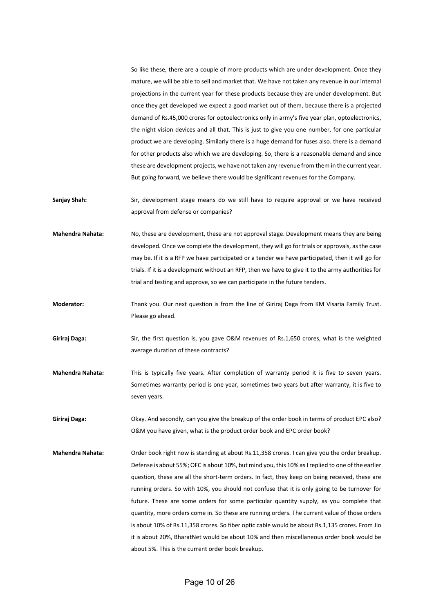So like these, there are a couple of more products which are under development. Once they mature, we will be able to sell and market that. We have not taken any revenue in our internal projections in the current year for these products because they are under development. But once they get developed we expect a good market out of them, because there is a projected demand of Rs.45,000 crores for optoelectronics only in army's five year plan, optoelectronics, the night vision devices and all that. This is just to give you one number, for one particular product we are developing. Similarly there is a huge demand for fuses also. there is a demand for other products also which we are developing. So, there is a reasonable demand and since these are development projects, we have not taken any revenue from them in the current year. But going forward, we believe there would be significant revenues for the Company.

- Sanjay Shah: Sir, development stage means do we still have to require approval or we have received approval from defense or companies?
- **Mahendra Nahata:** No, these are development, these are not approval stage. Development means they are being developed. Once we complete the development, they will go for trials or approvals, as the case may be. If it is a RFP we have participated or a tender we have participated, then it will go for trials. If it is a development without an RFP, then we have to give it to the army authorities for trial and testing and approve, so we can participate in the future tenders.
- **Moderator:** Thank you. Our next question is from the line of Giriraj Daga from KM Visaria Family Trust. Please go ahead.
- **Giriraj Daga:** Sir, the first question is, you gave O&M revenues of Rs.1,650 crores, what is the weighted average duration of these contracts?
- **Mahendra Nahata:** This is typically five years. After completion of warranty period it is five to seven years. Sometimes warranty period is one year, sometimes two years but after warranty, it is five to seven years.
- **Giriraj Daga:** Okay. And secondly, can you give the breakup of the order book in terms of product EPC also? O&M you have given, what is the product order book and EPC order book?
- **Mahendra Nahata:** Order book right now is standing at about Rs.11,358 crores. I can give you the order breakup. Defense is about 55%; OFC is about 10%, but mind you, this 10% as I replied to one of the earlier question, these are all the short-term orders. In fact, they keep on being received, these are running orders. So with 10%, you should not confuse that it is only going to be turnover for future. These are some orders for some particular quantity supply, as you complete that quantity, more orders come in. So these are running orders. The current value of those orders is about 10% of Rs.11,358 crores. So fiber optic cable would be about Rs.1,135 crores. From Jio it is about 20%, BharatNet would be about 10% and then miscellaneous order book would be about 5%. This is the current order book breakup.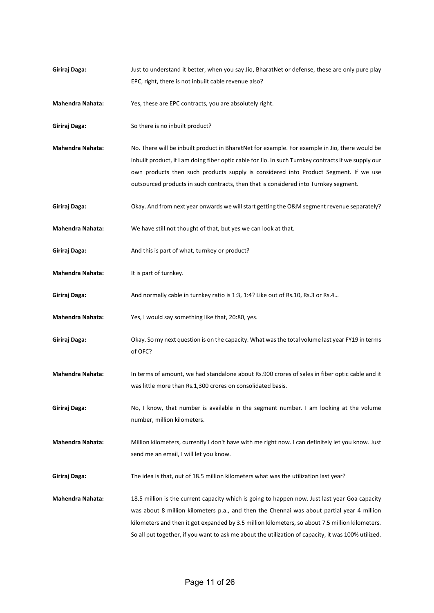**Giriraj Daga:** Just to understand it better, when you say Jio, BharatNet or defense, these are only pure play EPC, right, there is not inbuilt cable revenue also?

**Mahendra Nahata:** Yes, these are EPC contracts, you are absolutely right.

Giriraj Daga: So there is no inbuilt product?

**Mahendra Nahata:** No. There will be inbuilt product in BharatNet for example. For example in Jio, there would be inbuilt product, if I am doing fiber optic cable for Jio. In such Turnkey contracts if we supply our own products then such products supply is considered into Product Segment. If we use outsourced products in such contracts, then that is considered into Turnkey segment.

Giriraj Daga: Okay. And from next year onwards we will start getting the O&M segment revenue separately?

**Mahendra Nahata:** We have still not thought of that, but yes we can look at that.

Giriraj Daga: And this is part of what, turnkey or product?

**Mahendra Nahata:** It is part of turnkey.

**Giriraj Daga:** And normally cable in turnkey ratio is 1:3, 1:4? Like out of Rs.10, Rs.3 or Rs.4…

**Mahendra Nahata:** Yes, I would say something like that, 20:80, yes.

- **Giriraj Daga:** Okay. So my next question is on the capacity. What was the total volume last year FY19 in terms of OFC?
- **Mahendra Nahata:** In terms of amount, we had standalone about Rs.900 crores of sales in fiber optic cable and it was little more than Rs.1,300 crores on consolidated basis.
- Giriraj Daga: No, I know, that number is available in the segment number. I am looking at the volume number, million kilometers.

**Mahendra Nahata:** Million kilometers, currently I don't have with me right now. I can definitely let you know. Just send me an email, I will let you know.

**Giriraj Daga:** The idea is that, out of 18.5 million kilometers what was the utilization last year?

**Mahendra Nahata:** 18.5 million is the current capacity which is going to happen now. Just last year Goa capacity was about 8 million kilometers p.a., and then the Chennai was about partial year 4 million kilometers and then it got expanded by 3.5 million kilometers, so about 7.5 million kilometers. So all put together, if you want to ask me about the utilization of capacity, it was 100% utilized.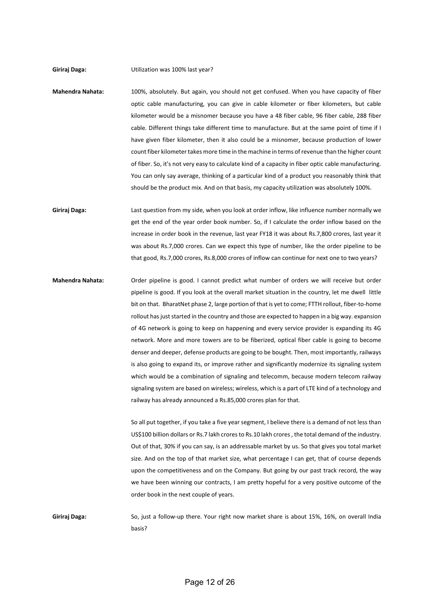**Giriraj Daga:** Utilization was 100% last year?

- **Mahendra Nahata:** 100%, absolutely. But again, you should not get confused. When you have capacity of fiber optic cable manufacturing, you can give in cable kilometer or fiber kilometers, but cable kilometer would be a misnomer because you have a 48 fiber cable, 96 fiber cable, 288 fiber cable. Different things take different time to manufacture. But at the same point of time if I have given fiber kilometer, then it also could be a misnomer, because production of lower count fiber kilometer takes more time in the machine in terms of revenue than the higher count of fiber. So, it's not very easy to calculate kind of a capacity in fiber optic cable manufacturing. You can only say average, thinking of a particular kind of a product you reasonably think that should be the product mix. And on that basis, my capacity utilization was absolutely 100%.
- **Giriraj Daga:** Last question from my side, when you look at order inflow, like influence number normally we get the end of the year order book number. So, if I calculate the order inflow based on the increase in order book in the revenue, last year FY18 it was about Rs.7,800 crores, last year it was about Rs.7,000 crores. Can we expect this type of number, like the order pipeline to be that good, Rs.7,000 crores, Rs.8,000 crores of inflow can continue for next one to two years?
- **Mahendra Nahata:** Order pipeline is good. I cannot predict what number of orders we will receive but order pipeline is good. If you look at the overall market situation in the country, let me dwell little bit on that. BharatNet phase 2, large portion of that is yet to come; FTTH rollout, fiber-to-home rollout has just started in the country and those are expected to happen in a big way. expansion of 4G network is going to keep on happening and every service provider is expanding its 4G network. More and more towers are to be fiberized, optical fiber cable is going to become denser and deeper, defense products are going to be bought. Then, most importantly, railways is also going to expand its, or improve rather and significantly modernize its signaling system which would be a combination of signaling and telecomm, because modern telecom railway signaling system are based on wireless; wireless, which is a part of LTE kind of a technology and railway has already announced a Rs.85,000 crores plan for that.

So all put together, if you take a five year segment, I believe there is a demand of not less than US\$100 billion dollars or Rs.7 lakh crores to Rs.10 lakh crores , the total demand of the industry. Out of that, 30% if you can say, is an addressable market by us. So that gives you total market size. And on the top of that market size, what percentage I can get, that of course depends upon the competitiveness and on the Company. But going by our past track record, the way we have been winning our contracts, I am pretty hopeful for a very positive outcome of the order book in the next couple of years.

**Giriraj Daga:** So, just a follow-up there. Your right now market share is about 15%, 16%, on overall India basis?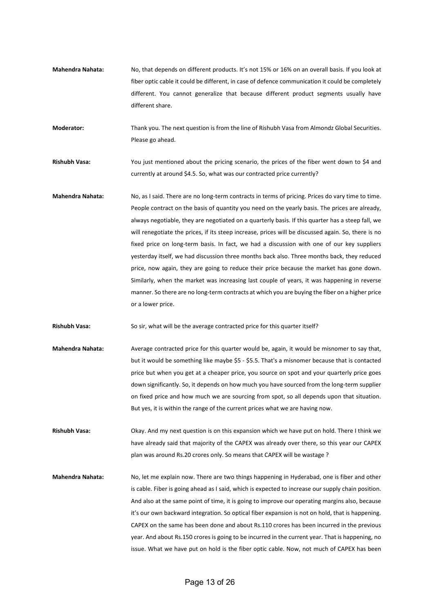**Mahendra Nahata:** No, that depends on different products. It's not 15% or 16% on an overall basis. If you look at fiber optic cable it could be different, in case of defence communication it could be completely different. You cannot generalize that because different product segments usually have different share.

**Moderator:** Thank you. The next question is from the line of Rishubh Vasa from Almondz Global Securities. Please go ahead.

**Rishubh Vasa:** You just mentioned about the pricing scenario, the prices of the fiber went down to \$4 and currently at around \$4.5. So, what was our contracted price currently?

**Mahendra Nahata:** No, as I said. There are no long-term contracts in terms of pricing. Prices do vary time to time. People contract on the basis of quantity you need on the yearly basis. The prices are already, always negotiable, they are negotiated on a quarterly basis. If this quarter has a steep fall, we will renegotiate the prices, if its steep increase, prices will be discussed again. So, there is no fixed price on long-term basis. In fact, we had a discussion with one of our key suppliers yesterday itself, we had discussion three months back also. Three months back, they reduced price, now again, they are going to reduce their price because the market has gone down. Similarly, when the market was increasing last couple of years, it was happening in reverse manner. So there are no long-term contracts at which you are buying the fiber on a higher price or a lower price.

**Rishubh Vasa:** So sir, what will be the average contracted price for this quarter itself?

**Mahendra Nahata:** Average contracted price for this quarter would be, again, it would be misnomer to say that, but it would be something like maybe \$5 - \$5.5. That's a misnomer because that is contacted price but when you get at a cheaper price, you source on spot and your quarterly price goes down significantly. So, it depends on how much you have sourced from the long-term supplier on fixed price and how much we are sourcing from spot, so all depends upon that situation. But yes, it is within the range of the current prices what we are having now.

**Rishubh Vasa:** Okay. And my next question is on this expansion which we have put on hold. There I think we have already said that majority of the CAPEX was already over there, so this year our CAPEX plan was around Rs.20 crores only. So means that CAPEX will be wastage ?

**Mahendra Nahata:** No, let me explain now. There are two things happening in Hyderabad, one is fiber and other is cable. Fiber is going ahead as I said, which is expected to increase our supply chain position. And also at the same point of time, it is going to improve our operating margins also, because it's our own backward integration. So optical fiber expansion is not on hold, that is happening. CAPEX on the same has been done and about Rs.110 crores has been incurred in the previous year. And about Rs.150 crores is going to be incurred in the current year. That is happening, no issue. What we have put on hold is the fiber optic cable. Now, not much of CAPEX has been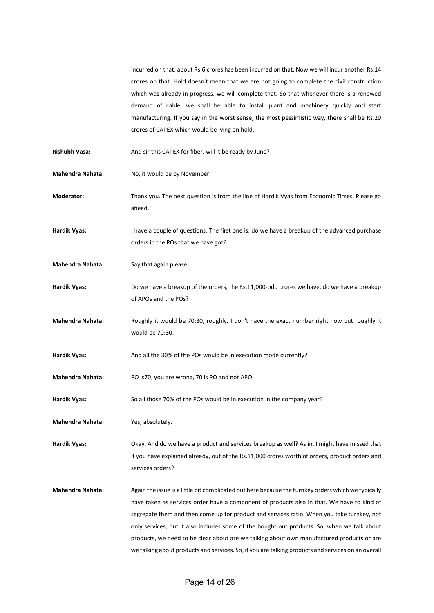incurred on that, about Rs.6 crores has been incurred on that. Now we will incur another Rs.14 crores on that. Hold doesn't mean that we are not going to complete the civil construction which was already in progress, we will complete that. So that whenever there is a renewed demand of cable, we shall be able to install plant and machinery quickly and start manufacturing. If you say in the worst sense, the most pessimistic way, there shall be Rs.20 crores of CAPEX which would be lying on hold.

- Rishubh Vasa: And sir this CAPEX for fiber, will it be ready by June?
- **Mahendra Nahata:** No, it would be by November.
- **Moderator:** Thank you. The next question is from the line of Hardik Vyas from Economic Times. Please go ahead.
- **Hardik Vyas:** I have a couple of questions. The first one is, do we have a breakup of the advanced purchase orders in the POs that we have got?
- **Mahendra Nahata:** Say that again please.
- **Hardik Vyas:** Do we have a breakup of the orders, the Rs.11,000-odd crores we have, do we have a breakup of APOs and the POs?
- **Mahendra Nahata:** Roughly it would be 70:30, roughly. I don't have the exact number right now but roughly it would be 70:30.
- Hardik Vyas: And all the 30% of the POs would be in execution mode currently?
- **Mahendra Nahata:** PO is70, you are wrong, 70 is PO and not APO.
- **Hardik Vyas:** So all those 70% of the POs would be in execution in the company year?
- **Mahendra Nahata:** Yes, absolutely.

**Hardik Vyas:** Okay. And do we have a product and services breakup as well? As in, I might have missed that if you have explained already, out of the Rs.11,000 crores worth of orders, product orders and services orders?

**Mahendra Nahata:** Again the issue is a little bit complicated out here because the turnkey orders which we typically have taken as services order have a component of products also in that. We have to kind of segregate them and then come up for product and services ratio. When you take turnkey, not only services, but it also includes some of the bought out products. So, when we talk about products, we need to be clear about are we talking about own manufactured products or are we talking about products and services. So, if you are talking products and services on an overall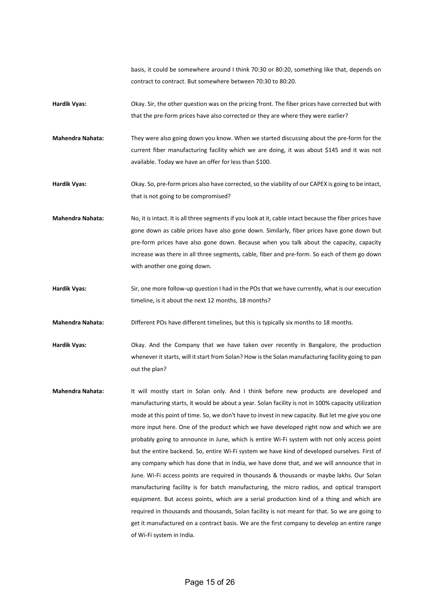basis, it could be somewhere around I think 70:30 or 80:20, something like that, depends on contract to contract. But somewhere between 70:30 to 80:20.

**Hardik Vyas:** Okay. Sir, the other question was on the pricing front. The fiber prices have corrected but with that the pre-form prices have also corrected or they are where they were earlier?

**Mahendra Nahata:** They were also going down you know. When we started discussing about the pre-form for the current fiber manufacturing facility which we are doing, it was about \$145 and it was not available. Today we have an offer for less than \$100.

**Hardik Vyas:** Okay. So, pre-form prices also have corrected, so the viability of our CAPEX is going to be intact, that is not going to be compromised?

**Mahendra Nahata:** No, it is intact. It is all three segments if you look at it, cable intact because the fiber prices have gone down as cable prices have also gone down. Similarly, fiber prices have gone down but pre-form prices have also gone down. Because when you talk about the capacity, capacity increase was there in all three segments, cable, fiber and pre-form. So each of them go down with another one going down.

**Hardik Vyas:** Sir, one more follow-up question I had in the POs that we have currently, what is our execution timeline, is it about the next 12 months, 18 months?

**Mahendra Nahata:** Different POs have different timelines, but this is typically six months to 18 months.

**Hardik Vyas:** Okay. And the Company that we have taken over recently in Bangalore, the production whenever it starts, will it start from Solan? How is the Solan manufacturing facility going to pan out the plan?

**Mahendra Nahata:** It will mostly start in Solan only. And I think before new products are developed and manufacturing starts, it would be about a year. Solan facility is not in 100% capacity utilization mode at this point of time. So, we don't have to invest in new capacity. But let me give you one more input here. One of the product which we have developed right now and which we are probably going to announce in June, which is entire Wi-Fi system with not only access point but the entire backend. So, entire Wi-Fi system we have kind of developed ourselves. First of any company which has done that in India, we have done that, and we will announce that in June. Wi-Fi access points are required in thousands & thousands or maybe lakhs. Our Solan manufacturing facility is for batch manufacturing, the micro radios, and optical transport equipment. But access points, which are a serial production kind of a thing and which are required in thousands and thousands, Solan facility is not meant for that. So we are going to get it manufactured on a contract basis. We are the first company to develop an entire range of Wi-Fi system in India.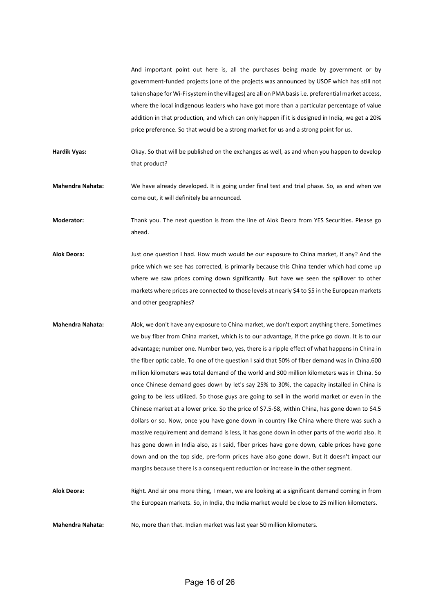And important point out here is, all the purchases being made by government or by government-funded projects (one of the projects was announced by USOF which has still not taken shape for Wi-Fisystem in the villages) are all on PMA basisi.e. preferential market access, where the local indigenous leaders who have got more than a particular percentage of value addition in that production, and which can only happen if it is designed in India, we get a 20% price preference. So that would be a strong market for us and a strong point for us.

- **Hardik Vyas:** Okay. So that will be published on the exchanges as well, as and when you happen to develop that product?
- **Mahendra Nahata:** We have already developed. It is going under final test and trial phase. So, as and when we come out, it will definitely be announced.

**Moderator:** Thank you. The next question is from the line of Alok Deora from YES Securities. Please go ahead.

- **Alok Deora:** Just one question I had. How much would be our exposure to China market, if any? And the price which we see has corrected, is primarily because this China tender which had come up where we saw prices coming down significantly. But have we seen the spillover to other markets where prices are connected to those levels at nearly \$4 to \$5 in the European markets and other geographies?
- **Mahendra Nahata:** Alok, we don't have any exposure to China market, we don't export anything there. Sometimes we buy fiber from China market, which is to our advantage, if the price go down. It is to our advantage; number one. Number two, yes, there is a ripple effect of what happens in China in the fiber optic cable. To one of the question I said that 50% of fiber demand was in China.600 million kilometers was total demand of the world and 300 million kilometers was in China. So once Chinese demand goes down by let's say 25% to 30%, the capacity installed in China is going to be less utilized. So those guys are going to sell in the world market or even in the Chinese market at a lower price. So the price of \$7.5-\$8, within China, has gone down to \$4.5 dollars or so. Now, once you have gone down in country like China where there was such a massive requirement and demand is less, it has gone down in other parts of the world also. It has gone down in India also, as I said, fiber prices have gone down, cable prices have gone down and on the top side, pre-form prices have also gone down. But it doesn't impact our margins because there is a consequent reduction or increase in the other segment.

**Alok Deora:** Right. And sir one more thing, I mean, we are looking at a significant demand coming in from the European markets. So, in India, the India market would be close to 25 million kilometers.

**Mahendra Nahata:** No, more than that. Indian market was last year 50 million kilometers.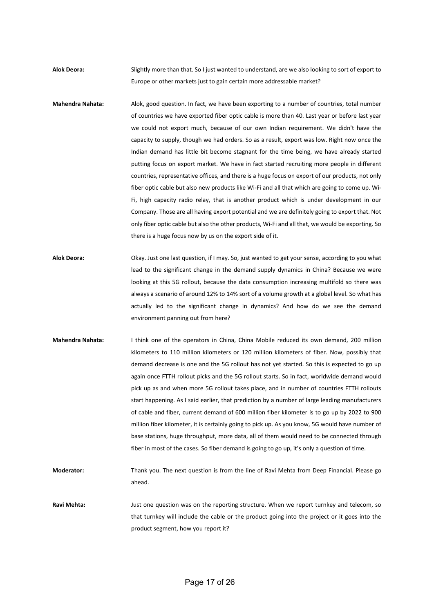**Alok Deora:** Slightly more than that. So I just wanted to understand, are we also looking to sort of export to Europe or other markets just to gain certain more addressable market?

- **Mahendra Nahata:** Alok, good question. In fact, we have been exporting to a number of countries, total number of countries we have exported fiber optic cable is more than 40. Last year or before last year we could not export much, because of our own Indian requirement. We didn't have the capacity to supply, though we had orders. So as a result, export was low. Right now once the Indian demand has little bit become stagnant for the time being, we have already started putting focus on export market. We have in fact started recruiting more people in different countries, representative offices, and there is a huge focus on export of our products, not only fiber optic cable but also new products like Wi-Fi and all that which are going to come up. Wi-Fi, high capacity radio relay, that is another product which is under development in our Company. Those are all having export potential and we are definitely going to export that. Not only fiber optic cable but also the other products, Wi-Fi and all that, we would be exporting. So there is a huge focus now by us on the export side of it.
- **Alok Deora:** Okay. Just one last question, if I may. So, just wanted to get your sense, according to you what lead to the significant change in the demand supply dynamics in China? Because we were looking at this 5G rollout, because the data consumption increasing multifold so there was always a scenario of around 12% to 14% sort of a volume growth at a global level. So what has actually led to the significant change in dynamics? And how do we see the demand environment panning out from here?
- **Mahendra Nahata:** I think one of the operators in China, China Mobile reduced its own demand, 200 million kilometers to 110 million kilometers or 120 million kilometers of fiber. Now, possibly that demand decrease is one and the 5G rollout has not yet started. So this is expected to go up again once FTTH rollout picks and the 5G rollout starts. So in fact, worldwide demand would pick up as and when more 5G rollout takes place, and in number of countries FTTH rollouts start happening. As I said earlier, that prediction by a number of large leading manufacturers of cable and fiber, current demand of 600 million fiber kilometer is to go up by 2022 to 900 million fiber kilometer, it is certainly going to pick up. As you know, 5G would have number of base stations, huge throughput, more data, all of them would need to be connected through fiber in most of the cases. So fiber demand is going to go up, it's only a question of time.

**Moderator:** Thank you. The next question is from the line of Ravi Mehta from Deep Financial. Please go ahead.

Ravi Mehta: Just one question was on the reporting structure. When we report turnkey and telecom, so that turnkey will include the cable or the product going into the project or it goes into the product segment, how you report it?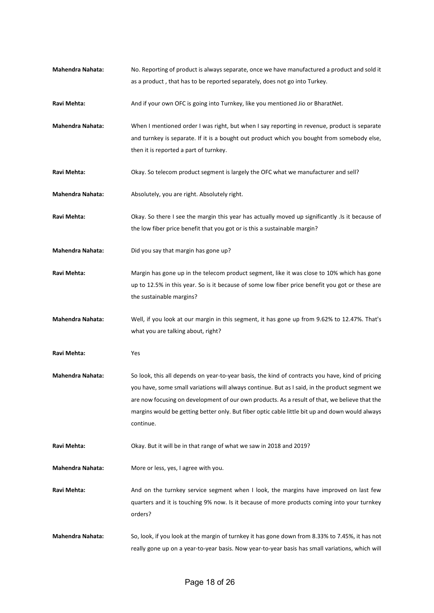| <b>Mahendra Nahata:</b> | No. Reporting of product is always separate, once we have manufactured a product and sold it                 |
|-------------------------|--------------------------------------------------------------------------------------------------------------|
|                         | as a product, that has to be reported separately, does not go into Turkey.                                   |
| Ravi Mehta:             | And if your own OFC is going into Turnkey, like you mentioned Jio or BharatNet.                              |
| <b>Mahendra Nahata:</b> | When I mentioned order I was right, but when I say reporting in revenue, product is separate                 |
|                         | and turnkey is separate. If it is a bought out product which you bought from somebody else,                  |
|                         | then it is reported a part of turnkey.                                                                       |
| Ravi Mehta:             | Okay. So telecom product segment is largely the OFC what we manufacturer and sell?                           |
| <b>Mahendra Nahata:</b> | Absolutely, you are right. Absolutely right.                                                                 |
| Ravi Mehta:             | Okay. So there I see the margin this year has actually moved up significantly . Is it because of             |
|                         | the low fiber price benefit that you got or is this a sustainable margin?                                    |
| <b>Mahendra Nahata:</b> | Did you say that margin has gone up?                                                                         |
| Ravi Mehta:             | Margin has gone up in the telecom product segment, like it was close to 10% which has gone                   |
|                         | up to 12.5% in this year. So is it because of some low fiber price benefit you got or these are              |
|                         | the sustainable margins?                                                                                     |
| <b>Mahendra Nahata:</b> | Well, if you look at our margin in this segment, it has gone up from 9.62% to 12.47%. That's                 |
|                         | what you are talking about, right?                                                                           |
| Ravi Mehta:             | Yes                                                                                                          |
| <b>Mahendra Nahata:</b> | So look, this all depends on year-to-year basis, the kind of contracts you have, kind of pricing             |
|                         | you have, some small variations will always continue. But as I said, in the product segment we               |
|                         | are now focusing on development of our own products. As a result of that, we believe that the                |
|                         | margins would be getting better only. But fiber optic cable little bit up and down would always<br>continue. |
| Ravi Mehta:             | Okay. But it will be in that range of what we saw in 2018 and 2019?                                          |
| <b>Mahendra Nahata:</b> | More or less, yes, I agree with you.                                                                         |
| Ravi Mehta:             | And on the turnkey service segment when I look, the margins have improved on last few                        |
|                         | quarters and it is touching 9% now. Is it because of more products coming into your turnkey                  |
|                         | orders?                                                                                                      |
| <b>Mahendra Nahata:</b> | So, look, if you look at the margin of turnkey it has gone down from 8.33% to 7.45%, it has not              |
|                         | really gone up on a year-to-year basis. Now year-to-year basis has small variations, which will              |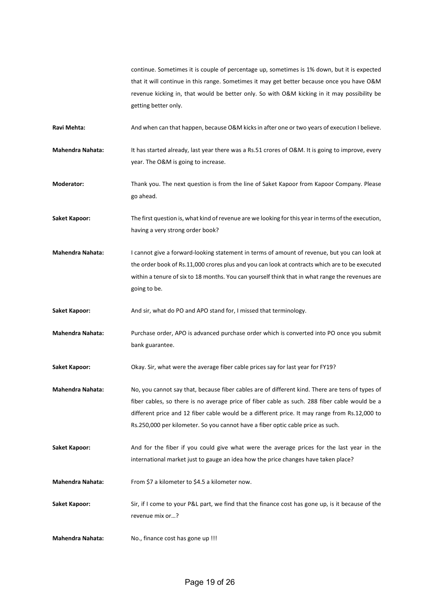continue. Sometimes it is couple of percentage up, sometimes is 1% down, but it is expected that it will continue in this range. Sometimes it may get better because once you have O&M revenue kicking in, that would be better only. So with O&M kicking in it may possibility be getting better only.

Ravi Mehta: And when can that happen, because O&M kicks in after one or two years of execution I believe.

**Mahendra Nahata:** It has started already, last year there was a Rs.51 crores of O&M. It is going to improve, every year. The O&M is going to increase.

**Moderator:** Thank you. The next question is from the line of Saket Kapoor from Kapoor Company. Please go ahead.

**Saket Kapoor:** The first question is, what kind of revenue are we looking for this year in terms of the execution, having a very strong order book?

**Mahendra Nahata:** I cannot give a forward-looking statement in terms of amount of revenue, but you can look at the order book of Rs.11,000 crores plus and you can look at contracts which are to be executed within a tenure of six to 18 months. You can yourself think that in what range the revenues are going to be.

Saket Kapoor: And sir, what do PO and APO stand for, I missed that terminology.

**Mahendra Nahata:** Purchase order, APO is advanced purchase order which is converted into PO once you submit bank guarantee.

**Saket Kapoor:** Okay. Sir, what were the average fiber cable prices say for last year for FY19?

**Mahendra Nahata:** No, you cannot say that, because fiber cables are of different kind. There are tens of types of fiber cables, so there is no average price of fiber cable as such. 288 fiber cable would be a different price and 12 fiber cable would be a different price. It may range from Rs.12,000 to Rs.250,000 per kilometer. So you cannot have a fiber optic cable price as such.

Saket Kapoor: And for the fiber if you could give what were the average prices for the last year in the international market just to gauge an idea how the price changes have taken place?

**Mahendra Nahata:** From \$7 a kilometer to \$4.5 a kilometer now.

**Saket Kapoor:** Sir, if I come to your P&L part, we find that the finance cost has gone up, is it because of the revenue mix or…?

**Mahendra Nahata:** No., finance cost has gone up !!!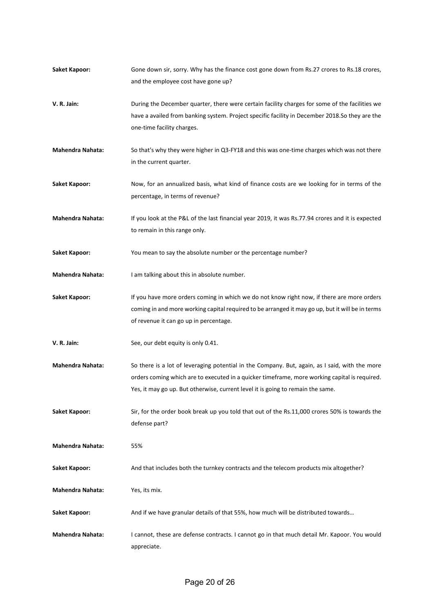| <b>Saket Kapoor:</b>    | Gone down sir, sorry. Why has the finance cost gone down from Rs.27 crores to Rs.18 crores,<br>and the employee cost have gone up?                                                                                                                                                 |
|-------------------------|------------------------------------------------------------------------------------------------------------------------------------------------------------------------------------------------------------------------------------------------------------------------------------|
| V. R. Jain:             | During the December quarter, there were certain facility charges for some of the facilities we<br>have a availed from banking system. Project specific facility in December 2018.So they are the<br>one-time facility charges.                                                     |
| <b>Mahendra Nahata:</b> | So that's why they were higher in Q3-FY18 and this was one-time charges which was not there<br>in the current quarter.                                                                                                                                                             |
| <b>Saket Kapoor:</b>    | Now, for an annualized basis, what kind of finance costs are we looking for in terms of the<br>percentage, in terms of revenue?                                                                                                                                                    |
| <b>Mahendra Nahata:</b> | If you look at the P&L of the last financial year 2019, it was Rs.77.94 crores and it is expected<br>to remain in this range only.                                                                                                                                                 |
| <b>Saket Kapoor:</b>    | You mean to say the absolute number or the percentage number?                                                                                                                                                                                                                      |
| Mahendra Nahata:        | I am talking about this in absolute number.                                                                                                                                                                                                                                        |
| <b>Saket Kapoor:</b>    | If you have more orders coming in which we do not know right now, if there are more orders<br>coming in and more working capital required to be arranged it may go up, but it will be in terms<br>of revenue it can go up in percentage.                                           |
| V. R. Jain:             | See, our debt equity is only 0.41.                                                                                                                                                                                                                                                 |
| <b>Mahendra Nahata:</b> | So there is a lot of leveraging potential in the Company. But, again, as I said, with the more<br>orders coming which are to executed in a quicker timeframe, more working capital is required.<br>Yes, it may go up. But otherwise, current level it is going to remain the same. |
| <b>Saket Kapoor:</b>    | Sir, for the order book break up you told that out of the Rs.11,000 crores 50% is towards the<br>defense part?                                                                                                                                                                     |
| <b>Mahendra Nahata:</b> | 55%                                                                                                                                                                                                                                                                                |
| <b>Saket Kapoor:</b>    | And that includes both the turnkey contracts and the telecom products mix altogether?                                                                                                                                                                                              |
| <b>Mahendra Nahata:</b> | Yes, its mix.                                                                                                                                                                                                                                                                      |
| Saket Kapoor:           | And if we have granular details of that 55%, how much will be distributed towards                                                                                                                                                                                                  |
| <b>Mahendra Nahata:</b> | I cannot, these are defense contracts. I cannot go in that much detail Mr. Kapoor. You would<br>appreciate.                                                                                                                                                                        |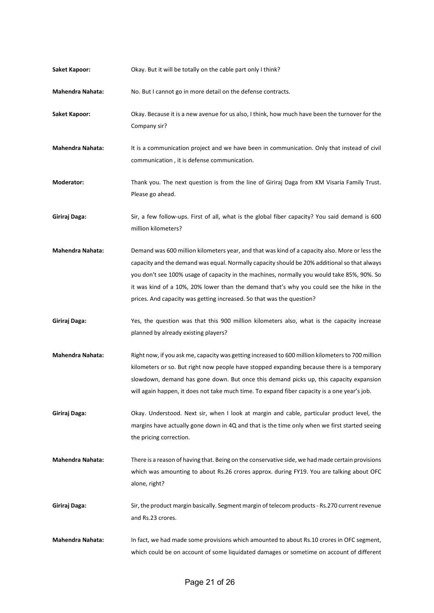| <b>Saket Kapoor:</b>    | Okay. But it will be totally on the cable part only I think?                                                                                                                                                                                                                                                                                                                                                                                                      |
|-------------------------|-------------------------------------------------------------------------------------------------------------------------------------------------------------------------------------------------------------------------------------------------------------------------------------------------------------------------------------------------------------------------------------------------------------------------------------------------------------------|
| <b>Mahendra Nahata:</b> | No. But I cannot go in more detail on the defense contracts.                                                                                                                                                                                                                                                                                                                                                                                                      |
| <b>Saket Kapoor:</b>    | Okay. Because it is a new avenue for us also, I think, how much have been the turnover for the<br>Company sir?                                                                                                                                                                                                                                                                                                                                                    |
| <b>Mahendra Nahata:</b> | It is a communication project and we have been in communication. Only that instead of civil<br>communication, it is defense communication.                                                                                                                                                                                                                                                                                                                        |
| Moderator:              | Thank you. The next question is from the line of Giriraj Daga from KM Visaria Family Trust.<br>Please go ahead.                                                                                                                                                                                                                                                                                                                                                   |
| Giriraj Daga:           | Sir, a few follow-ups. First of all, what is the global fiber capacity? You said demand is 600<br>million kilometers?                                                                                                                                                                                                                                                                                                                                             |
| <b>Mahendra Nahata:</b> | Demand was 600 million kilometers year, and that was kind of a capacity also. More or less the<br>capacity and the demand was equal. Normally capacity should be 20% additional so that always<br>you don't see 100% usage of capacity in the machines, normally you would take 85%, 90%. So<br>it was kind of a 10%, 20% lower than the demand that's why you could see the hike in the<br>prices. And capacity was getting increased. So that was the question? |
| Giriraj Daga:           | Yes, the question was that this 900 million kilometers also, what is the capacity increase<br>planned by already existing players?                                                                                                                                                                                                                                                                                                                                |
| <b>Mahendra Nahata:</b> | Right now, if you ask me, capacity was getting increased to 600 million kilometers to 700 million<br>kilometers or so. But right now people have stopped expanding because there is a temporary<br>slowdown, demand has gone down. But once this demand picks up, this capacity expansion<br>will again happen, it does not take much time. To expand fiber capacity is a one year's job.                                                                         |
| Giriraj Daga:           | Okay. Understood. Next sir, when I look at margin and cable, particular product level, the<br>margins have actually gone down in 4Q and that is the time only when we first started seeing<br>the pricing correction.                                                                                                                                                                                                                                             |
| <b>Mahendra Nahata:</b> | There is a reason of having that. Being on the conservative side, we had made certain provisions<br>which was amounting to about Rs.26 crores approx. during FY19. You are talking about OFC<br>alone, right?                                                                                                                                                                                                                                                     |
| Giriraj Daga:           | Sir, the product margin basically. Segment margin of telecom products - Rs.270 current revenue<br>and Rs.23 crores.                                                                                                                                                                                                                                                                                                                                               |
| <b>Mahendra Nahata:</b> | In fact, we had made some provisions which amounted to about Rs.10 crores in OFC segment,<br>which could be on account of some liquidated damages or sometime on account of different                                                                                                                                                                                                                                                                             |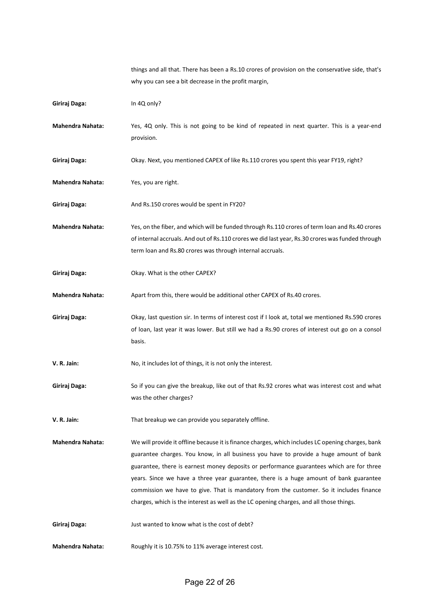things and all that. There has been a Rs.10 crores of provision on the conservative side, that's why you can see a bit decrease in the profit margin,

| Giriraj Daga:           | In 4Q only?                                                                                                                                                                                                                                                                                                                                                                                                                                                                                                                                                            |
|-------------------------|------------------------------------------------------------------------------------------------------------------------------------------------------------------------------------------------------------------------------------------------------------------------------------------------------------------------------------------------------------------------------------------------------------------------------------------------------------------------------------------------------------------------------------------------------------------------|
| <b>Mahendra Nahata:</b> | Yes, 4Q only. This is not going to be kind of repeated in next quarter. This is a year-end<br>provision.                                                                                                                                                                                                                                                                                                                                                                                                                                                               |
| Giriraj Daga:           | Okay. Next, you mentioned CAPEX of like Rs.110 crores you spent this year FY19, right?                                                                                                                                                                                                                                                                                                                                                                                                                                                                                 |
| <b>Mahendra Nahata:</b> | Yes, you are right.                                                                                                                                                                                                                                                                                                                                                                                                                                                                                                                                                    |
| Giriraj Daga:           | And Rs.150 crores would be spent in FY20?                                                                                                                                                                                                                                                                                                                                                                                                                                                                                                                              |
| <b>Mahendra Nahata:</b> | Yes, on the fiber, and which will be funded through Rs.110 crores of term loan and Rs.40 crores<br>of internal accruals. And out of Rs.110 crores we did last year, Rs.30 crores was funded through<br>term loan and Rs.80 crores was through internal accruals.                                                                                                                                                                                                                                                                                                       |
| Giriraj Daga:           | Okay. What is the other CAPEX?                                                                                                                                                                                                                                                                                                                                                                                                                                                                                                                                         |
| <b>Mahendra Nahata:</b> | Apart from this, there would be additional other CAPEX of Rs.40 crores.                                                                                                                                                                                                                                                                                                                                                                                                                                                                                                |
| Giriraj Daga:           | Okay, last question sir. In terms of interest cost if I look at, total we mentioned Rs.590 crores<br>of loan, last year it was lower. But still we had a Rs.90 crores of interest out go on a consol<br>basis.                                                                                                                                                                                                                                                                                                                                                         |
| V. R. Jain:             | No, it includes lot of things, it is not only the interest.                                                                                                                                                                                                                                                                                                                                                                                                                                                                                                            |
| Giriraj Daga:           | So if you can give the breakup, like out of that Rs.92 crores what was interest cost and what<br>was the other charges?                                                                                                                                                                                                                                                                                                                                                                                                                                                |
| V. R. Jain:             | That breakup we can provide you separately offline.                                                                                                                                                                                                                                                                                                                                                                                                                                                                                                                    |
| <b>Mahendra Nahata:</b> | We will provide it offline because it is finance charges, which includes LC opening charges, bank<br>guarantee charges. You know, in all business you have to provide a huge amount of bank<br>guarantee, there is earnest money deposits or performance guarantees which are for three<br>years. Since we have a three year guarantee, there is a huge amount of bank guarantee<br>commission we have to give. That is mandatory from the customer. So it includes finance<br>charges, which is the interest as well as the LC opening charges, and all those things. |
| Giriraj Daga:           | Just wanted to know what is the cost of debt?                                                                                                                                                                                                                                                                                                                                                                                                                                                                                                                          |
| <b>Mahendra Nahata:</b> | Roughly it is 10.75% to 11% average interest cost.                                                                                                                                                                                                                                                                                                                                                                                                                                                                                                                     |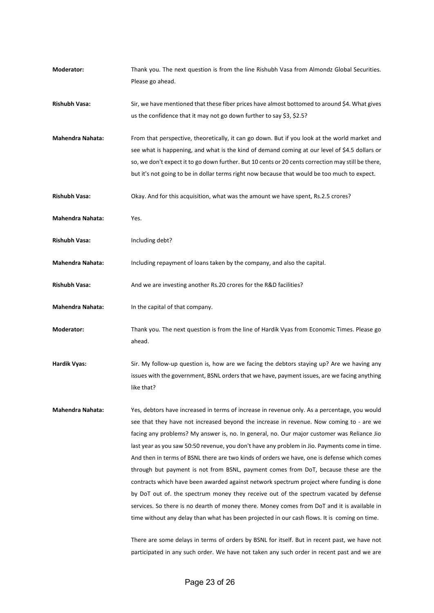| Moderator:              | Thank you. The next question is from the line Rishubh Vasa from Almondz Global Securities.<br>Please go ahead.                                                                                                                                                                                                                                                                                                                                                                                                                                                                                                                                                                                                                                                                                                                                                                                                                                                                                                                                                   |
|-------------------------|------------------------------------------------------------------------------------------------------------------------------------------------------------------------------------------------------------------------------------------------------------------------------------------------------------------------------------------------------------------------------------------------------------------------------------------------------------------------------------------------------------------------------------------------------------------------------------------------------------------------------------------------------------------------------------------------------------------------------------------------------------------------------------------------------------------------------------------------------------------------------------------------------------------------------------------------------------------------------------------------------------------------------------------------------------------|
| <b>Rishubh Vasa:</b>    | Sir, we have mentioned that these fiber prices have almost bottomed to around \$4. What gives<br>us the confidence that it may not go down further to say \$3, \$2.5?                                                                                                                                                                                                                                                                                                                                                                                                                                                                                                                                                                                                                                                                                                                                                                                                                                                                                            |
| <b>Mahendra Nahata:</b> | From that perspective, theoretically, it can go down. But if you look at the world market and<br>see what is happening, and what is the kind of demand coming at our level of \$4.5 dollars or<br>so, we don't expect it to go down further. But 10 cents or 20 cents correction may still be there,<br>but it's not going to be in dollar terms right now because that would be too much to expect.                                                                                                                                                                                                                                                                                                                                                                                                                                                                                                                                                                                                                                                             |
| <b>Rishubh Vasa:</b>    | Okay. And for this acquisition, what was the amount we have spent, Rs.2.5 crores?                                                                                                                                                                                                                                                                                                                                                                                                                                                                                                                                                                                                                                                                                                                                                                                                                                                                                                                                                                                |
| <b>Mahendra Nahata:</b> | Yes.                                                                                                                                                                                                                                                                                                                                                                                                                                                                                                                                                                                                                                                                                                                                                                                                                                                                                                                                                                                                                                                             |
| Rishubh Vasa:           | Including debt?                                                                                                                                                                                                                                                                                                                                                                                                                                                                                                                                                                                                                                                                                                                                                                                                                                                                                                                                                                                                                                                  |
| <b>Mahendra Nahata:</b> | Including repayment of loans taken by the company, and also the capital.                                                                                                                                                                                                                                                                                                                                                                                                                                                                                                                                                                                                                                                                                                                                                                                                                                                                                                                                                                                         |
| <b>Rishubh Vasa:</b>    | And we are investing another Rs.20 crores for the R&D facilities?                                                                                                                                                                                                                                                                                                                                                                                                                                                                                                                                                                                                                                                                                                                                                                                                                                                                                                                                                                                                |
| <b>Mahendra Nahata:</b> | In the capital of that company.                                                                                                                                                                                                                                                                                                                                                                                                                                                                                                                                                                                                                                                                                                                                                                                                                                                                                                                                                                                                                                  |
| Moderator:              | Thank you. The next question is from the line of Hardik Vyas from Economic Times. Please go<br>ahead.                                                                                                                                                                                                                                                                                                                                                                                                                                                                                                                                                                                                                                                                                                                                                                                                                                                                                                                                                            |
| <b>Hardik Vyas:</b>     | Sir. My follow-up question is, how are we facing the debtors staying up? Are we having any<br>issues with the government, BSNL orders that we have, payment issues, are we facing anything<br>like that?                                                                                                                                                                                                                                                                                                                                                                                                                                                                                                                                                                                                                                                                                                                                                                                                                                                         |
| <b>Mahendra Nahata:</b> | Yes, debtors have increased in terms of increase in revenue only. As a percentage, you would<br>see that they have not increased beyond the increase in revenue. Now coming to - are we<br>facing any problems? My answer is, no. In general, no. Our major customer was Reliance Jio<br>last year as you saw 50:50 revenue, you don't have any problem in Jio. Payments come in time.<br>And then in terms of BSNL there are two kinds of orders we have, one is defense which comes<br>through but payment is not from BSNL, payment comes from DoT, because these are the<br>contracts which have been awarded against network spectrum project where funding is done<br>by DoT out of. the spectrum money they receive out of the spectrum vacated by defense<br>services. So there is no dearth of money there. Money comes from DoT and it is available in<br>time without any delay than what has been projected in our cash flows. It is coming on time.<br>There are some delays in terms of orders by BSNL for itself. But in recent past, we have not |
|                         | participated in any such order. We have not taken any such order in recent past and we are                                                                                                                                                                                                                                                                                                                                                                                                                                                                                                                                                                                                                                                                                                                                                                                                                                                                                                                                                                       |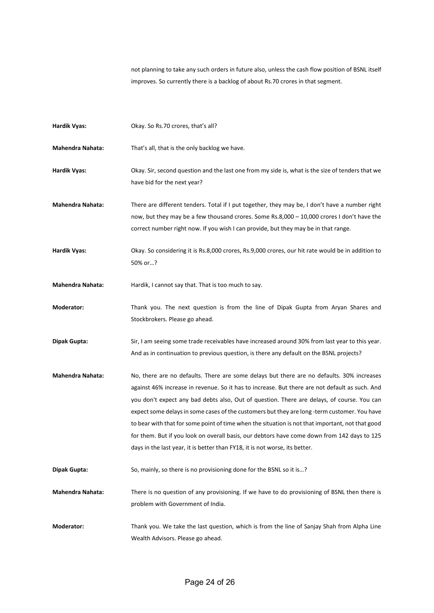not planning to take any such orders in future also, unless the cash flow position of BSNL itself improves. So currently there is a backlog of about Rs.70 crores in that segment.

| <b>Hardik Vyas:</b>     | Okay. So Rs.70 crores, that's all?                                                                                                                                                                                                                                                                                                                                                                                                                                                                                                                                                                                                                                          |
|-------------------------|-----------------------------------------------------------------------------------------------------------------------------------------------------------------------------------------------------------------------------------------------------------------------------------------------------------------------------------------------------------------------------------------------------------------------------------------------------------------------------------------------------------------------------------------------------------------------------------------------------------------------------------------------------------------------------|
| Mahendra Nahata:        | That's all, that is the only backlog we have.                                                                                                                                                                                                                                                                                                                                                                                                                                                                                                                                                                                                                               |
| <b>Hardik Vyas:</b>     | Okay. Sir, second question and the last one from my side is, what is the size of tenders that we<br>have bid for the next year?                                                                                                                                                                                                                                                                                                                                                                                                                                                                                                                                             |
| <b>Mahendra Nahata:</b> | There are different tenders. Total if I put together, they may be, I don't have a number right<br>now, but they may be a few thousand crores. Some Rs.8,000 - 10,000 crores I don't have the<br>correct number right now. If you wish I can provide, but they may be in that range.                                                                                                                                                                                                                                                                                                                                                                                         |
| <b>Hardik Vyas:</b>     | Okay. So considering it is Rs.8,000 crores, Rs.9,000 crores, our hit rate would be in addition to<br>50% or?                                                                                                                                                                                                                                                                                                                                                                                                                                                                                                                                                                |
| <b>Mahendra Nahata:</b> | Hardik, I cannot say that. That is too much to say.                                                                                                                                                                                                                                                                                                                                                                                                                                                                                                                                                                                                                         |
| Moderator:              | Thank you. The next question is from the line of Dipak Gupta from Aryan Shares and<br>Stockbrokers. Please go ahead.                                                                                                                                                                                                                                                                                                                                                                                                                                                                                                                                                        |
| Dipak Gupta:            | Sir, I am seeing some trade receivables have increased around 30% from last year to this year.<br>And as in continuation to previous question, is there any default on the BSNL projects?                                                                                                                                                                                                                                                                                                                                                                                                                                                                                   |
| <b>Mahendra Nahata:</b> | No, there are no defaults. There are some delays but there are no defaults. 30% increases<br>against 46% increase in revenue. So it has to increase. But there are not default as such. And<br>you don't expect any bad debts also, Out of question. There are delays, of course. You can<br>expect some delays in some cases of the customers but they are long -term customer. You have<br>to bear with that for some point of time when the situation is not that important, not that good<br>for them. But if you look on overall basis, our debtors have come down from 142 days to 125<br>days in the last year, it is better than FY18, it is not worse, its better. |
| Dipak Gupta:            | So, mainly, so there is no provisioning done for the BSNL so it is?                                                                                                                                                                                                                                                                                                                                                                                                                                                                                                                                                                                                         |
| <b>Mahendra Nahata:</b> | There is no question of any provisioning. If we have to do provisioning of BSNL then there is<br>problem with Government of India.                                                                                                                                                                                                                                                                                                                                                                                                                                                                                                                                          |
| Moderator:              | Thank you. We take the last question, which is from the line of Sanjay Shah from Alpha Line<br>Wealth Advisors. Please go ahead.                                                                                                                                                                                                                                                                                                                                                                                                                                                                                                                                            |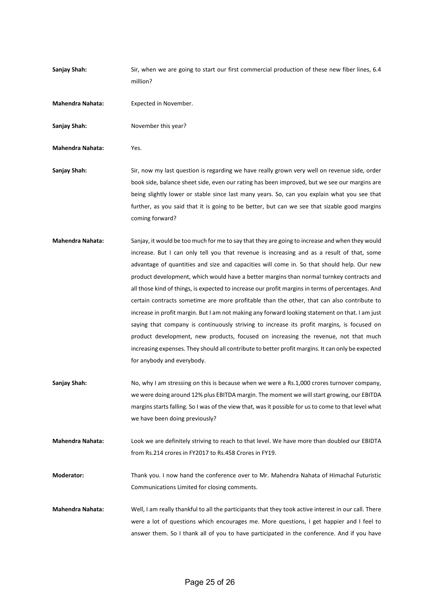| Sanjay Shah:            | Sir, when we are going to start our first commercial production of these new fiber lines, 6.4<br>million?                                                                                                                                                                                                                                                                                                                                                                                                                                                                                                                                                                                                                                                                                                                                                                                                                                                                                                            |
|-------------------------|----------------------------------------------------------------------------------------------------------------------------------------------------------------------------------------------------------------------------------------------------------------------------------------------------------------------------------------------------------------------------------------------------------------------------------------------------------------------------------------------------------------------------------------------------------------------------------------------------------------------------------------------------------------------------------------------------------------------------------------------------------------------------------------------------------------------------------------------------------------------------------------------------------------------------------------------------------------------------------------------------------------------|
| <b>Mahendra Nahata:</b> | Expected in November.                                                                                                                                                                                                                                                                                                                                                                                                                                                                                                                                                                                                                                                                                                                                                                                                                                                                                                                                                                                                |
| Sanjay Shah:            | November this year?                                                                                                                                                                                                                                                                                                                                                                                                                                                                                                                                                                                                                                                                                                                                                                                                                                                                                                                                                                                                  |
| <b>Mahendra Nahata:</b> | Yes.                                                                                                                                                                                                                                                                                                                                                                                                                                                                                                                                                                                                                                                                                                                                                                                                                                                                                                                                                                                                                 |
| Sanjay Shah:            | Sir, now my last question is regarding we have really grown very well on revenue side, order<br>book side, balance sheet side, even our rating has been improved, but we see our margins are<br>being slightly lower or stable since last many years. So, can you explain what you see that<br>further, as you said that it is going to be better, but can we see that sizable good margins<br>coming forward?                                                                                                                                                                                                                                                                                                                                                                                                                                                                                                                                                                                                       |
| <b>Mahendra Nahata:</b> | Sanjay, it would be too much for me to say that they are going to increase and when they would<br>increase. But I can only tell you that revenue is increasing and as a result of that, some<br>advantage of quantities and size and capacities will come in. So that should help. Our new<br>product development, which would have a better margins than normal turnkey contracts and<br>all those kind of things, is expected to increase our profit margins in terms of percentages. And<br>certain contracts sometime are more profitable than the other, that can also contribute to<br>increase in profit margin. But I am not making any forward looking statement on that. I am just<br>saying that company is continuously striving to increase its profit margins, is focused on<br>product development, new products, focused on increasing the revenue, not that much<br>increasing expenses. They should all contribute to better profit margins. It can only be expected<br>for anybody and everybody. |
| Sanjay Shah:            | No, why I am stressing on this is because when we were a Rs.1,000 crores turnover company,<br>we were doing around 12% plus EBITDA margin. The moment we will start growing, our EBITDA<br>margins starts falling. So I was of the view that, was it possible for us to come to that level what<br>we have been doing previously?                                                                                                                                                                                                                                                                                                                                                                                                                                                                                                                                                                                                                                                                                    |
| <b>Mahendra Nahata:</b> | Look we are definitely striving to reach to that level. We have more than doubled our EBIDTA<br>from Rs.214 crores in FY2017 to Rs.458 Crores in FY19.                                                                                                                                                                                                                                                                                                                                                                                                                                                                                                                                                                                                                                                                                                                                                                                                                                                               |
| Moderator:              | Thank you. I now hand the conference over to Mr. Mahendra Nahata of Himachal Futuristic<br>Communications Limited for closing comments.                                                                                                                                                                                                                                                                                                                                                                                                                                                                                                                                                                                                                                                                                                                                                                                                                                                                              |
| <b>Mahendra Nahata:</b> | Well, I am really thankful to all the participants that they took active interest in our call. There<br>were a lot of questions which encourages me. More questions, I get happier and I feel to<br>answer them. So I thank all of you to have participated in the conference. And if you have                                                                                                                                                                                                                                                                                                                                                                                                                                                                                                                                                                                                                                                                                                                       |